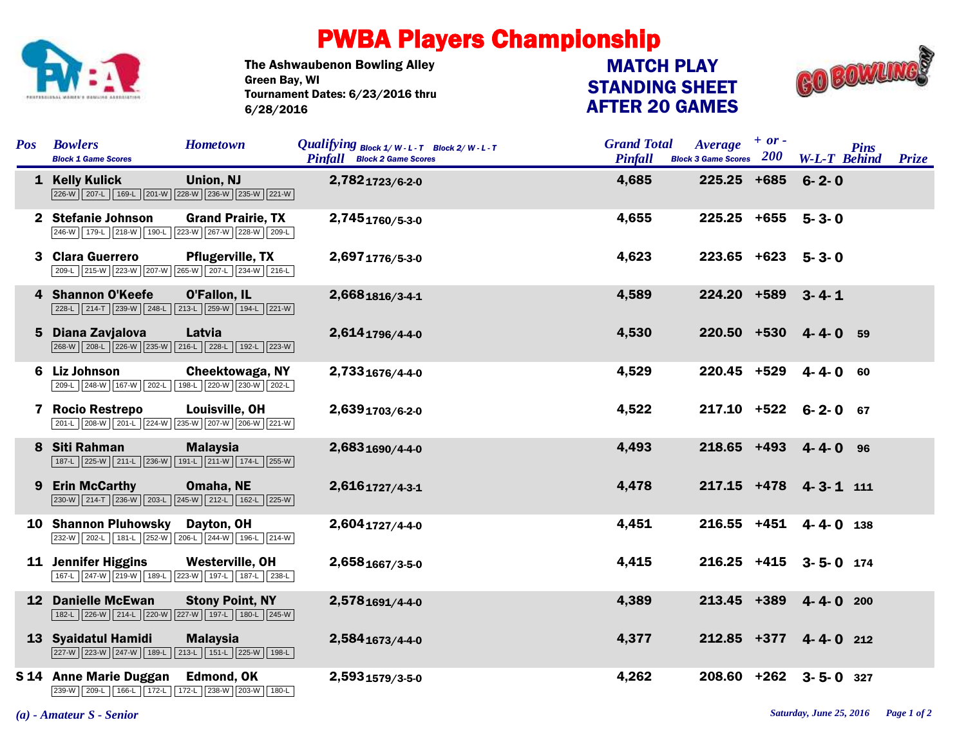

## PWBA Players Championship

The Ashwaubenon Bowling Alley Tournament Dates: 6/23/2016 thru 6/28/2016 Green Bay, WI

## STANDING SHEET AFTER 20 GAMES MATCH PLAY



| <b>Pos</b> | <b>Bowlers</b><br><b>Block 1 Game Scores</b>                                    | <b>Hometown</b>                            | Qualifying $Block 1/W-L-T$ Block 2/W-L-T<br><b>Pinfall</b> Block 2 Game Scores | <b>Grand Total</b><br><b>Pinfall</b> | $+ or -$<br>Average<br>Block 3 Game Scores 200 | <b>Pins</b><br><b>W-L-T Behind Prize</b> |  |
|------------|---------------------------------------------------------------------------------|--------------------------------------------|--------------------------------------------------------------------------------|--------------------------------------|------------------------------------------------|------------------------------------------|--|
|            | 1 Kelly Kulick<br>226-W   207-L   169-L   201-W   228-W   236-W   235-W   221-W | Union, NJ                                  | 2,7821723/6-2-0                                                                | 4,685                                | $225.25$ +685                                  | $6 - 2 - 0$                              |  |
|            | 2 Stefanie Johnson<br>246-W 179-L 218-W 190-L 223-W 267-W 228-W 209-L           | <b>Grand Prairie, TX</b>                   | 2,7451760/5-3-0                                                                | 4,655                                | $225.25 + 655$ 5-3-0                           |                                          |  |
| 3          | <b>Clara Guerrero</b><br>209-L 215-W 223-W 207-W 265-W 207-L 234-W 216-L        | <b>Pflugerville, TX</b>                    | 2,6971776/5-3-0                                                                | 4,623                                | $223.65$ +623 5-3-0                            |                                          |  |
| 4          | <b>Shannon O'Keefe</b><br>228-L 214-T 239-W 248-L 213-L 259-W 194-L 221-W       | O'Fallon, IL                               | 2,6681816/3-4-1                                                                | 4,589                                | 224.20 +589 3-4-1                              |                                          |  |
|            | 5 Diana Zavjalova<br>268-W 208-L 226-W 235-W 216-L 228-L 192-L 223-W            | Latvia                                     | 2,6141796/4-4-0                                                                | 4,530                                | 220.50 +530 4-4-0 59                           |                                          |  |
| 6          | Liz Johnson<br>209-L 248-W 167-W 202-L                                          | Cheektowaga, NY<br>198-L 220-W 230-W 202-L | 2,7331676/4-4-0                                                                | 4,529                                | $220.45$ +529 4-4-0 60                         |                                          |  |
|            | 7 Rocio Restrepo<br>201-L 208-W 201-L 224-W 235-W 207-W 206-W 221-W             | Louisville, OH                             | 2,6391703/6-2-0                                                                | 4,522                                | 217.10 +522 6-2-0 67                           |                                          |  |
| 8          | Siti Rahman<br>187-L 225-W 211-L 236-W 191-L 211-W 174-L 255-W                  | <b>Malaysia</b>                            | 2,6831690/4-4-0                                                                | 4,493                                | 218.65 +493 4-4-0 96                           |                                          |  |
|            | 9 Erin McCarthy<br>230-W 214-T 236-W 203-L 245-W 212-L 162-L 225-W              | Omaha, NE                                  | 2,6161727/4-3-1                                                                | 4,478                                | 217.15 +478 4-3-1 111                          |                                          |  |
|            | <b>10 Shannon Pluhowsky</b><br>232-W 202-L 181-L 252-W 206-L 244-W 196-L 214-W  | Dayton, OH                                 | 2,6041727/4-4-0                                                                | 4,451                                | 216.55 +451 4-4-0 138                          |                                          |  |
|            | 11 Jennifer Higgins<br>167-L 247-W 219-W 189-L 223-W 197-L 187-L 238-L          | Westerville, OH                            | 2,6581667/3-5-0                                                                | 4,415                                | 216.25 +415 3-5-0 174                          |                                          |  |
|            | <b>12 Danielle McEwan</b><br>182-L 226-W 214-L 220-W 227-W 197-L 180-L 245-W    | <b>Stony Point, NY</b>                     | 2,5781691/4-4-0                                                                | 4,389                                | 213.45 +389                                    | $4 - 4 - 0$ 200                          |  |
|            | 13 Syaidatul Hamidi<br>227-W 223-W 247-W 189-L 213-L 151-L 225-W 198-L          | <b>Malaysia</b>                            | 2,5841673/4-4-0                                                                | 4,377                                | 212.85 +377 4-4-0 212                          |                                          |  |
|            | S 14 Anne Marie Duggan<br>239-W 209-L 166-L 172-L 172-L 238-W 203-W 180-L       | Edmond, OK                                 | 2,5931579/3-5-0                                                                | 4,262                                | 208.60 +262 3-5-0 327                          |                                          |  |